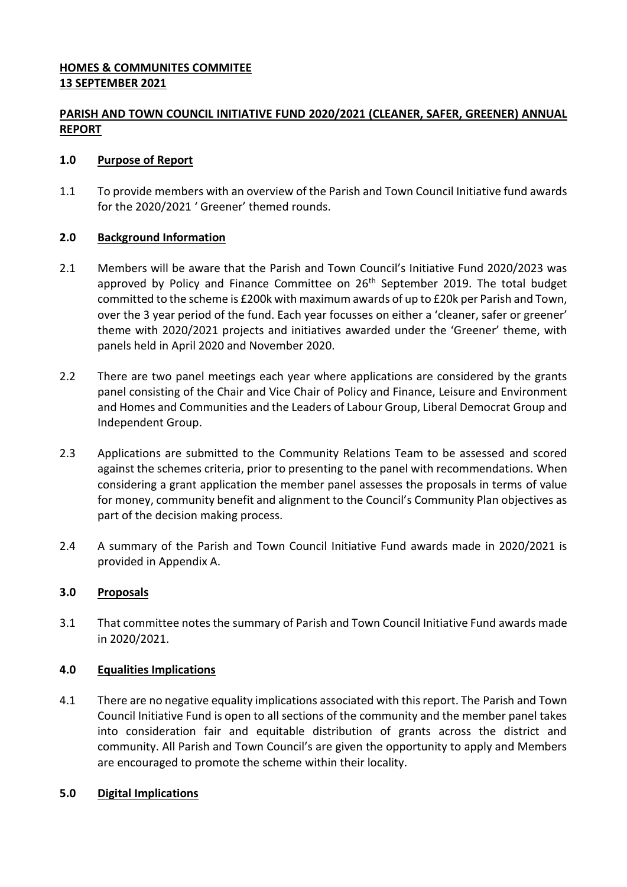## **HOMES & COMMUNITES COMMITEE 13 SEPTEMBER 2021**

# **PARISH AND TOWN COUNCIL INITIATIVE FUND 2020/2021 (CLEANER, SAFER, GREENER) ANNUAL REPORT**

### **1.0 Purpose of Report**

1.1 To provide members with an overview of the Parish and Town Council Initiative fund awards for the 2020/2021 ' Greener' themed rounds.

### **2.0 Background Information**

- 2.1 Members will be aware that the Parish and Town Council's Initiative Fund 2020/2023 was approved by Policy and Finance Committee on  $26<sup>th</sup>$  September 2019. The total budget committed to the scheme is £200k with maximum awards of up to £20k per Parish and Town, over the 3 year period of the fund. Each year focusses on either a 'cleaner, safer or greener' theme with 2020/2021 projects and initiatives awarded under the 'Greener' theme, with panels held in April 2020 and November 2020.
- 2.2 There are two panel meetings each year where applications are considered by the grants panel consisting of the Chair and Vice Chair of Policy and Finance, Leisure and Environment and Homes and Communities and the Leaders of Labour Group, Liberal Democrat Group and Independent Group.
- 2.3 Applications are submitted to the Community Relations Team to be assessed and scored against the schemes criteria, prior to presenting to the panel with recommendations. When considering a grant application the member panel assesses the proposals in terms of value for money, community benefit and alignment to the Council's Community Plan objectives as part of the decision making process.
- 2.4 A summary of the Parish and Town Council Initiative Fund awards made in 2020/2021 is provided in Appendix A.

### **3.0 Proposals**

3.1 That committee notes the summary of Parish and Town Council Initiative Fund awards made in 2020/2021.

### **4.0 Equalities Implications**

4.1 There are no negative equality implications associated with this report. The Parish and Town Council Initiative Fund is open to all sections of the community and the member panel takes into consideration fair and equitable distribution of grants across the district and community. All Parish and Town Council's are given the opportunity to apply and Members are encouraged to promote the scheme within their locality.

### **5.0 Digital Implications**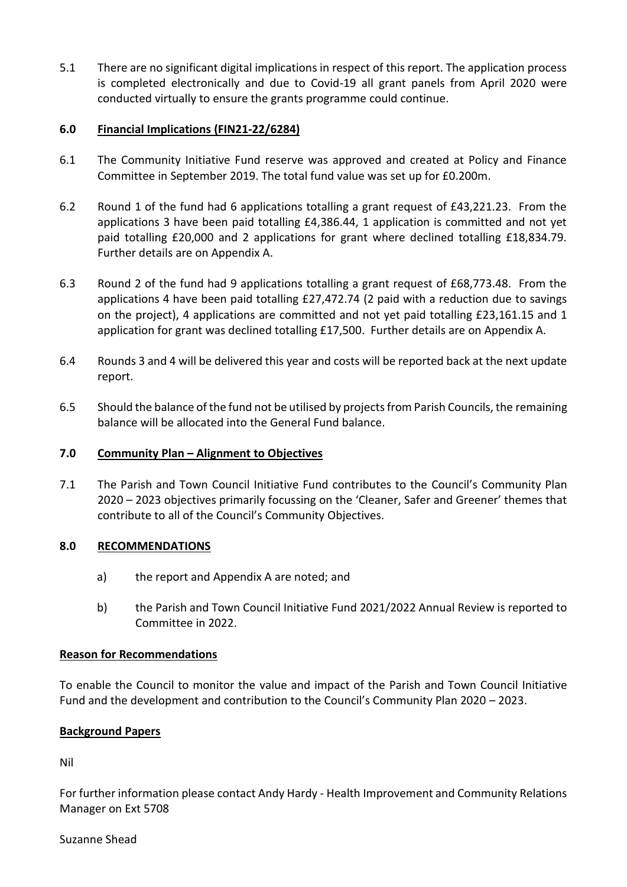5.1 There are no significant digital implications in respect of this report. The application process is completed electronically and due to Covid-19 all grant panels from April 2020 were conducted virtually to ensure the grants programme could continue.

### **6.0 Financial Implications (FIN21-22/6284)**

- 6.1 The Community Initiative Fund reserve was approved and created at Policy and Finance Committee in September 2019. The total fund value was set up for £0.200m.
- 6.2 Round 1 of the fund had 6 applications totalling a grant request of £43,221.23. From the applications 3 have been paid totalling £4,386.44, 1 application is committed and not yet paid totalling £20,000 and 2 applications for grant where declined totalling £18,834.79. Further details are on Appendix A.
- 6.3 Round 2 of the fund had 9 applications totalling a grant request of £68,773.48. From the applications 4 have been paid totalling £27,472.74 (2 paid with a reduction due to savings on the project), 4 applications are committed and not yet paid totalling £23,161.15 and 1 application for grant was declined totalling £17,500. Further details are on Appendix A.
- 6.4 Rounds 3 and 4 will be delivered this year and costs will be reported back at the next update report.
- 6.5 Should the balance of the fund not be utilised by projects from Parish Councils, the remaining balance will be allocated into the General Fund balance.

### **7.0 Community Plan – Alignment to Objectives**

7.1 The Parish and Town Council Initiative Fund contributes to the Council's Community Plan 2020 – 2023 objectives primarily focussing on the 'Cleaner, Safer and Greener' themes that contribute to all of the Council's Community Objectives.

### **8.0 RECOMMENDATIONS**

- a) the report and Appendix A are noted; and
- b) the Parish and Town Council Initiative Fund 2021/2022 Annual Review is reported to Committee in 2022.

### **Reason for Recommendations**

To enable the Council to monitor the value and impact of the Parish and Town Council Initiative Fund and the development and contribution to the Council's Community Plan 2020 – 2023.

### **Background Papers**

Nil

For further information please contact Andy Hardy - Health Improvement and Community Relations Manager on Ext 5708

### Suzanne Shead